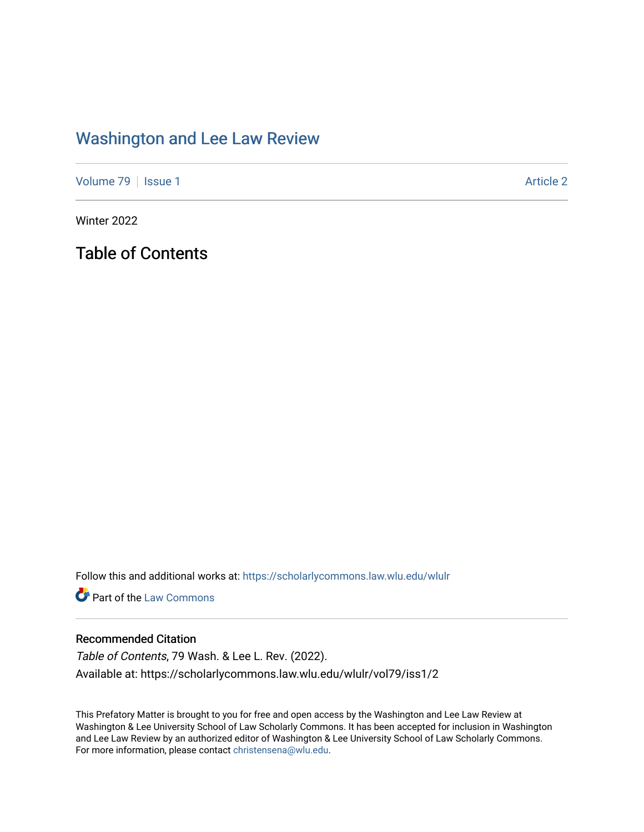## [Washington and Lee Law Review](https://scholarlycommons.law.wlu.edu/wlulr)

[Volume 79](https://scholarlycommons.law.wlu.edu/wlulr/vol79) | [Issue 1](https://scholarlycommons.law.wlu.edu/wlulr/vol79/iss1) Article 2

Winter 2022

Table of Contents

Follow this and additional works at: [https://scholarlycommons.law.wlu.edu/wlulr](https://scholarlycommons.law.wlu.edu/wlulr?utm_source=scholarlycommons.law.wlu.edu%2Fwlulr%2Fvol79%2Fiss1%2F2&utm_medium=PDF&utm_campaign=PDFCoverPages) 

**Part of the [Law Commons](http://network.bepress.com/hgg/discipline/578?utm_source=scholarlycommons.law.wlu.edu%2Fwlulr%2Fvol79%2Fiss1%2F2&utm_medium=PDF&utm_campaign=PDFCoverPages)** 

## Recommended Citation

Table of Contents, 79 Wash. & Lee L. Rev. (2022). Available at: https://scholarlycommons.law.wlu.edu/wlulr/vol79/iss1/2

This Prefatory Matter is brought to you for free and open access by the Washington and Lee Law Review at Washington & Lee University School of Law Scholarly Commons. It has been accepted for inclusion in Washington and Lee Law Review by an authorized editor of Washington & Lee University School of Law Scholarly Commons. For more information, please contact [christensena@wlu.edu](mailto:christensena@wlu.edu).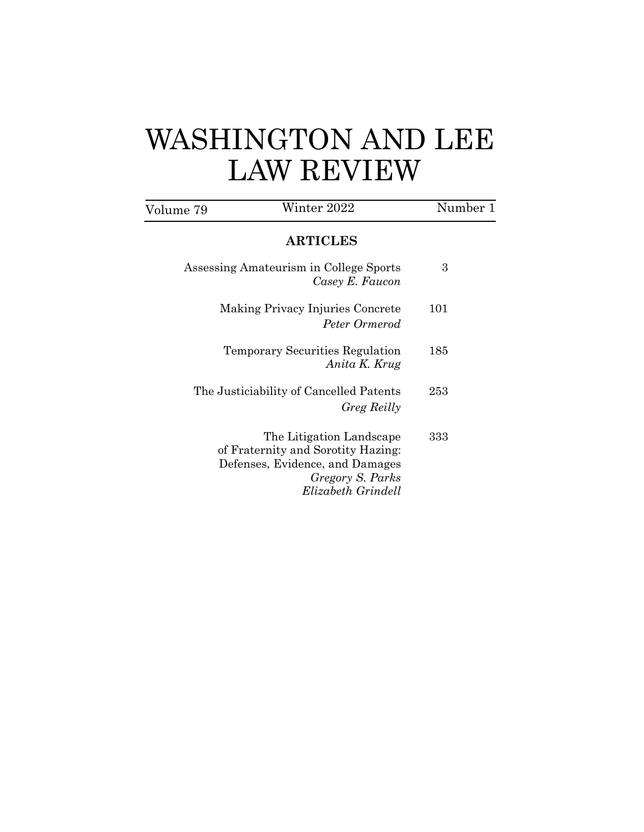## WASHINGTON AND LEE LAW REVIEW

| Volume 79                                                 | Winter 2022                                                                                                                                 | Number 1 |
|-----------------------------------------------------------|---------------------------------------------------------------------------------------------------------------------------------------------|----------|
|                                                           | <b>ARTICLES</b>                                                                                                                             |          |
| Assessing Amateurism in College Sports<br>Casey E. Faucon |                                                                                                                                             | 3        |
| Making Privacy Injuries Concrete<br>Peter Ormerod         |                                                                                                                                             | 101      |
|                                                           | Temporary Securities Regulation<br>Anita K. Krug                                                                                            | 185      |
| The Justiciability of Cancelled Patents<br>Greg Reilly    |                                                                                                                                             | 253      |
|                                                           | The Litigation Landscape<br>of Fraternity and Sorotity Hazing:<br>Defenses, Evidence, and Damages<br>Gregory S. Parks<br>Elizabeth Grindell | 333      |